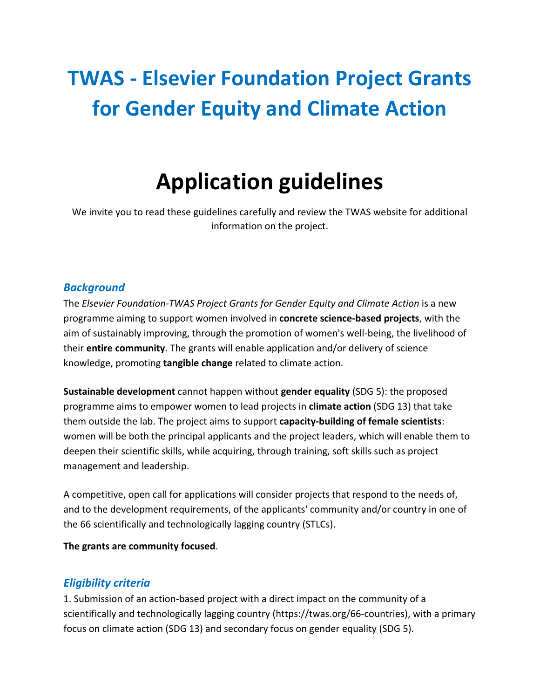# **TWAS - Elsevier Foundation Project Grants for Gender Equity and Climate Action**

# **Application guidelines**

We invite you to read these guidelines carefully and review the TWAS website for additional information on the project.

# *Background*

The *Elsevier Foundation-TWAS Project Grants for Gender Equity and Climate Action* is a new programme aiming to support women involved in **concrete science-based projects**, with the aim of sustainably improving, through the promotion of women's well-being, the livelihood of their **entire community**. The grants will enable application and/or delivery of science knowledge, promoting **tangible change** related to climate action.

**Sustainable development** cannot happen without **gender equality** (SDG 5): the proposed programme aims to empower women to lead projects in **climate action** (SDG 13) that take them outside the lab. The project aims to support **capacity-building of female scientists**: women will be both the principal applicants and the project leaders, which will enable them to deepen their scientific skills, while acquiring, through training, soft skills such as project management and leadership.

A competitive, open call for applications will consider projects that respond to the needs of, and to the development requirements, of the applicants' community and/or country in one of the 66 scientifically and technologically lagging country (STLCs).

**The grants are community focused**.

# *Eligibility criteria*

1. Submission of an action-based project with a direct impact on the community of a scientifically and technologically lagging country (https://twas.org/66-countries), with a primary focus on climate action (SDG 13) and secondary focus on gender equality (SDG 5).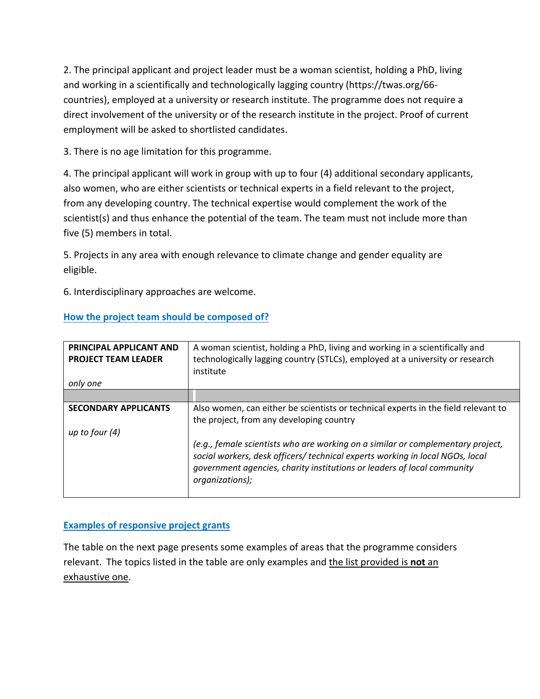2. The principal applicant and project leader must be a woman scientist, holding a PhD, living and working in a scientifically and technologically lagging country (https://twas.org/66 countries), employed at a university or research institute. The programme does not require a direct involvement of the university or of the research institute in the project. Proof of current employment will be asked to shortlisted candidates.

3. There is no age limitation for this programme.

4. The principal applicant will work in group with up to four (4) additional secondary applicants, also women, who are either scientists or technical experts in a field relevant to the project, from any developing country. The technical expertise would complement the work of the scientist(s) and thus enhance the potential of the team. The team must not include more than five (5) members in total.

5. Projects in any area with enough relevance to climate change and gender equality are eligible.

6. Interdisciplinary approaches are welcome.

| <b>PRINCIPAL APPLICANT AND</b> | A woman scientist, holding a PhD, living and working in a scientifically and                                                                                                                                                                                   |  |  |
|--------------------------------|----------------------------------------------------------------------------------------------------------------------------------------------------------------------------------------------------------------------------------------------------------------|--|--|
| <b>PROJECT TEAM LEADER</b>     | technologically lagging country (STLCs), employed at a university or research                                                                                                                                                                                  |  |  |
|                                |                                                                                                                                                                                                                                                                |  |  |
|                                | institute                                                                                                                                                                                                                                                      |  |  |
| only one                       |                                                                                                                                                                                                                                                                |  |  |
|                                |                                                                                                                                                                                                                                                                |  |  |
| <b>SECONDARY APPLICANTS</b>    | Also women, can either be scientists or technical experts in the field relevant to                                                                                                                                                                             |  |  |
|                                | the project, from any developing country                                                                                                                                                                                                                       |  |  |
| up to four $(4)$               |                                                                                                                                                                                                                                                                |  |  |
|                                | (e.g., female scientists who are working on a similar or complementary project,<br>social workers, desk officers/ technical experts working in local NGOs, local<br>government agencies, charity institutions or leaders of local community<br>organizations); |  |  |

## **How the project team should be composed of?**

## **Examples of responsive project grants**

The table on the next page presents some examples of areas that the programme considers relevant. The topics listed in the table are only examples and the list provided is **not** an exhaustive one.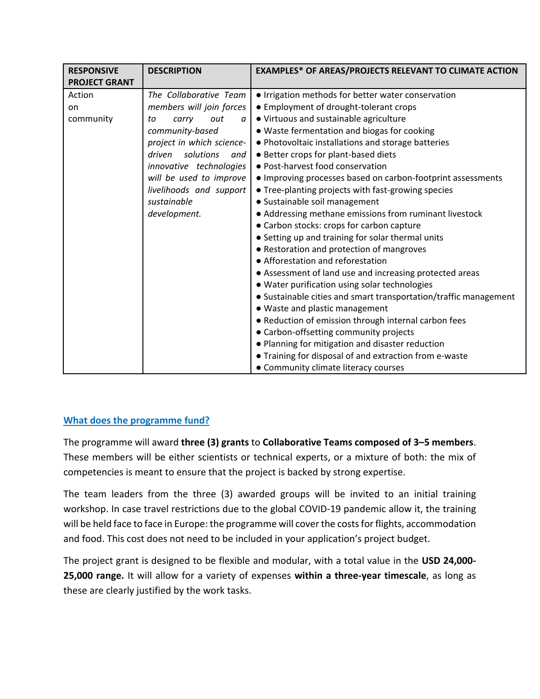| <b>RESPONSIVE</b>                                 | <b>DESCRIPTION</b>                                                                                                                                                                                                                                                          | <b>EXAMPLES* OF AREAS/PROJECTS RELEVANT TO CLIMATE ACTION</b>                                                                                                                                                                                                                                                                                                                                                                                                                                                                                                                                                                                                                                                                                                                                                                                                                                                                                                                                                                                                                                                                                                                                         |
|---------------------------------------------------|-----------------------------------------------------------------------------------------------------------------------------------------------------------------------------------------------------------------------------------------------------------------------------|-------------------------------------------------------------------------------------------------------------------------------------------------------------------------------------------------------------------------------------------------------------------------------------------------------------------------------------------------------------------------------------------------------------------------------------------------------------------------------------------------------------------------------------------------------------------------------------------------------------------------------------------------------------------------------------------------------------------------------------------------------------------------------------------------------------------------------------------------------------------------------------------------------------------------------------------------------------------------------------------------------------------------------------------------------------------------------------------------------------------------------------------------------------------------------------------------------|
| <b>PROJECT GRANT</b><br>Action<br>on<br>community | The Collaborative Team<br>members will join forces<br>out<br>carry<br>to<br>a<br>community-based<br>project in which science-<br>driven<br>solutions<br>and<br>innovative technologies<br>will be used to improve<br>livelihoods and support<br>sustainable<br>development. | • Irrigation methods for better water conservation<br>• Employment of drought-tolerant crops<br>• Virtuous and sustainable agriculture<br>. Waste fermentation and biogas for cooking<br>. Photovoltaic installations and storage batteries<br>• Better crops for plant-based diets<br>• Post-harvest food conservation<br>• Improving processes based on carbon-footprint assessments<br>• Tree-planting projects with fast-growing species<br>• Sustainable soil management<br>• Addressing methane emissions from ruminant livestock<br>• Carbon stocks: crops for carbon capture<br>• Setting up and training for solar thermal units<br>• Restoration and protection of mangroves<br>• Afforestation and reforestation<br>• Assessment of land use and increasing protected areas<br>• Water purification using solar technologies<br>• Sustainable cities and smart transportation/traffic management<br>• Waste and plastic management<br>• Reduction of emission through internal carbon fees<br>• Carbon-offsetting community projects<br>. Planning for mitigation and disaster reduction<br>• Training for disposal of and extraction from e-waste<br>• Community climate literacy courses |

## **What does the programme fund?**

The programme will award **three (3) grants** to **Collaborative Teams composed of 3–5 members**. These members will be either scientists or technical experts, or a mixture of both: the mix of competencies is meant to ensure that the project is backed by strong expertise.

The team leaders from the three (3) awarded groups will be invited to an initial training workshop. In case travel restrictions due to the global COVID-19 pandemic allow it, the training will be held face to face in Europe: the programme will cover the costs for flights, accommodation and food. This cost does not need to be included in your application's project budget.

The project grant is designed to be flexible and modular, with a total value in the **USD 24,000- 25,000 range.** It will allow for a variety of expenses **within a three-year timescale**, as long as these are clearly justified by the work tasks.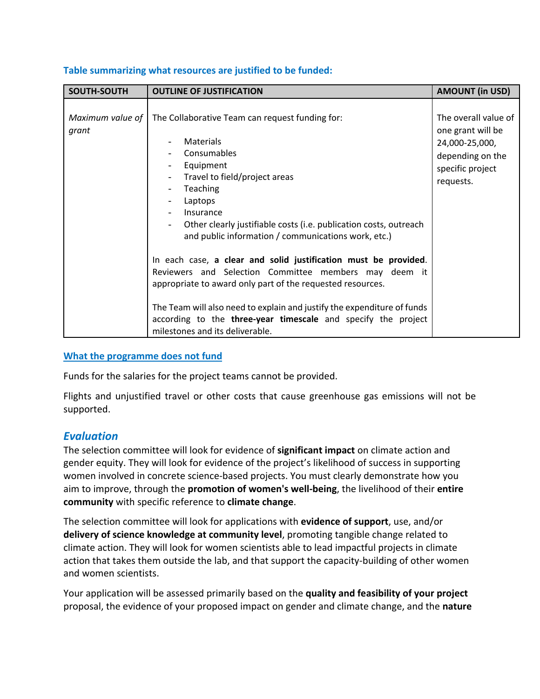| SOUTH-SOUTH               | <b>OUTLINE OF JUSTIFICATION</b>                                                                                                                                                                                                                                                                                                                                                                                                                                                                                                                                                                                                                                                                                                                        | <b>AMOUNT (in USD)</b>                                                                                           |
|---------------------------|--------------------------------------------------------------------------------------------------------------------------------------------------------------------------------------------------------------------------------------------------------------------------------------------------------------------------------------------------------------------------------------------------------------------------------------------------------------------------------------------------------------------------------------------------------------------------------------------------------------------------------------------------------------------------------------------------------------------------------------------------------|------------------------------------------------------------------------------------------------------------------|
| Maximum value of<br>grant | The Collaborative Team can request funding for:<br>Materials<br>Consumables<br>Equipment<br>$\overline{\phantom{a}}$<br>Travel to field/project areas<br>Teaching<br>$\overline{\phantom{a}}$<br>Laptops<br>Insurance<br>$\overline{\phantom{0}}$<br>Other clearly justifiable costs (i.e. publication costs, outreach<br>and public information / communications work, etc.)<br>In each case, a clear and solid justification must be provided.<br>Reviewers and Selection Committee members may deem it<br>appropriate to award only part of the requested resources.<br>The Team will also need to explain and justify the expenditure of funds<br>according to the three-year timescale and specify the project<br>milestones and its deliverable. | The overall value of<br>one grant will be<br>24,000-25,000,<br>depending on the<br>specific project<br>requests. |

#### **Table summarizing what resources are justified to be funded:**

#### **What the programme does not fund**

Funds for the salaries for the project teams cannot be provided.

Flights and unjustified travel or other costs that cause greenhouse gas emissions will not be supported.

## *Evaluation*

The selection committee will look for evidence of **significant impact** on climate action and gender equity. They will look for evidence of the project's likelihood of success in supporting women involved in concrete science-based projects. You must clearly demonstrate how you aim to improve, through the **promotion of women's well-being**, the livelihood of their **entire community** with specific reference to **climate change**.

The selection committee will look for applications with **evidence of support**, use, and/or **delivery of science knowledge at community level**, promoting tangible change related to climate action. They will look for women scientists able to lead impactful projects in climate action that takes them outside the lab, and that support the capacity-building of other women and women scientists.

Your application will be assessed primarily based on the **quality and feasibility of your project** proposal, the evidence of your proposed impact on gender and climate change, and the **nature**